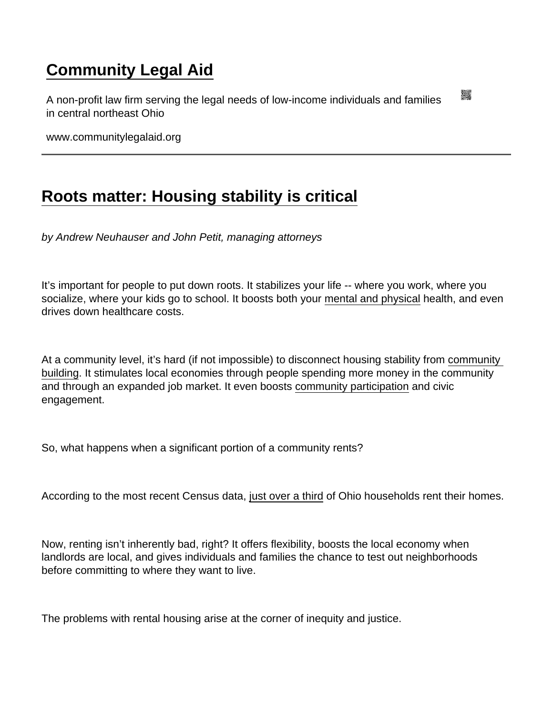## [Community Legal Aid](https://www.communitylegalaid.org/)

A non-profit law firm serving the legal needs of low-income individuals and families in central northeast Ohio

www.communitylegalaid.org

## [Roots matter: Housing stability is critical](https://www.communitylegalaid.org/node/1716/roots-matter-housing-stability-critical)

by Andrew Neuhauser and John Petit, managing attorneys

It's important for people to put down roots. It stabilizes your life -- where you work, where you socialize, where your kids go to school. It boosts both your [mental and physical](https://www.healthaffairs.org/do/10.1377/hpb20180313.396577/) health, and even drives down healthcare costs.

At a community level, it's hard (if not impossible) to disconnect housing stability from [community](https://www.nlc.org/initiative/housing-community-development/)  [building](https://www.nlc.org/initiative/housing-community-development/). It stimulates local economies through people spending more money in the community and through an expanded job market. It even boosts [community participation](https://www.ncbi.nlm.nih.gov/pmc/articles/PMC4586680/) and civic engagement.

So, what happens when a significant portion of a community rents?

According to the most recent Census data, [just over a third](https://www.deptofnumbers.com/rent/ohio/#:~:text=This measure looks at the,according to Census ACS data.) of Ohio households rent their homes.

Now, renting isn't inherently bad, right? It offers flexibility, boosts the local economy when landlords are local, and gives individuals and families the chance to test out neighborhoods before committing to where they want to live.

The problems with rental housing arise at the corner of inequity and justice.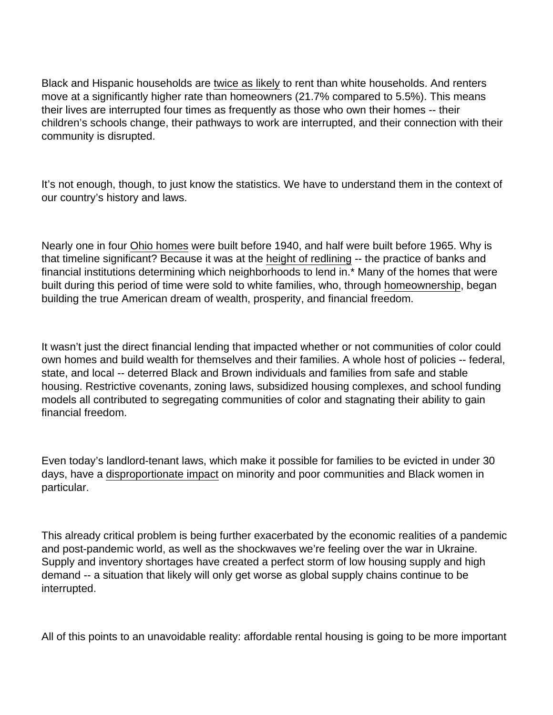Black and Hispanic households are [twice as likely](https://www.pewresearch.org/fact-tank/2017/07/19/more-u-s-households-are-renting-than-at-any-point-in-50-years/) to rent than white households. And renters move at a significantly higher rate than homeowners (21.7% compared to 5.5%). This means their lives are interrupted four times as frequently as those who own their homes -- their children's schools change, their pathways to work are interrupted, and their connection with their community is disrupted.

It's not enough, though, to just know the statistics. We have to understand them in the context of our country's history and laws.

Nearly one in four [Ohio homes](https://ohiohome.org/research/housingstock.aspx#:~:text=Ohio) were built before 1940, and half were built before 1965. Why is that timeline significant? Because it was at the [height of redlining](https://www.history.com/news/housing-segregation-new-deal-program#:~:text=The Fair Housing Act of,already had on Black Americans.) -- the practice of banks and financial institutions determining which neighborhoods to lend in.\* Many of the homes that were built during this period of time were sold to white families, who, through [homeownership](https://www.pewresearch.org/social-trends/2011/07/26/chapter-3-net-worth-by-type-of-asset/), began building the true American dream of wealth, prosperity, and financial freedom.

It wasn't just the direct financial lending that impacted whether or not communities of color could own homes and build wealth for themselves and their families. A whole host of policies -- federal, state, and local -- deterred Black and Brown individuals and families from safe and stable housing. Restrictive covenants, zoning laws, subsidized housing complexes, and school funding models all contributed to segregating communities of color and stagnating their ability to gain financial freedom.

Even today's landlord-tenant laws, which make it possible for families to be evicted in under 30 days, have a [disproportionate impact](https://scholar.harvard.edu/files/mdesmond/files/hlc106_crop.pdf) on minority and poor communities and Black women in particular.

This already critical problem is being further exacerbated by the economic realities of a pandemic and post-pandemic world, as well as the shockwaves we're feeling over the war in Ukraine. Supply and inventory shortages have created a perfect storm of low housing supply and high demand -- a situation that likely will only get worse as global supply chains continue to be interrupted.

All of this points to an unavoidable reality: affordable rental housing is going to be more important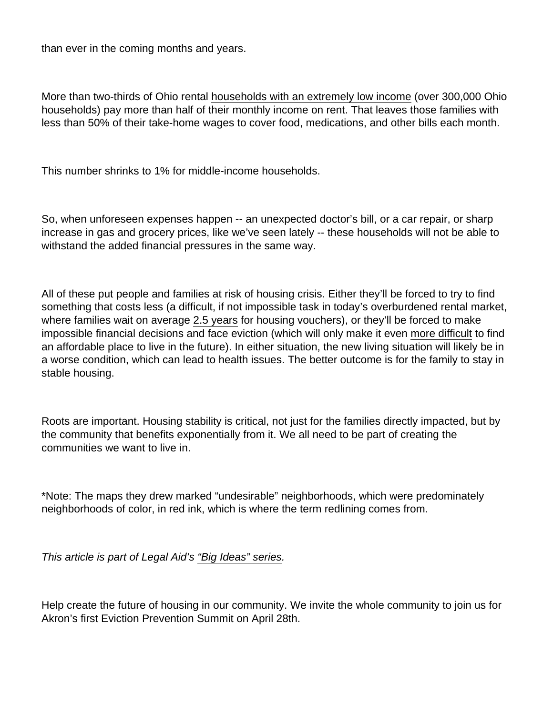than ever in the coming months and years.

More than two-thirds of Ohio rental [households with an extremely low income](https://nlihc.org/housing-needs-by-state/ohio) (over 300,000 Ohio households) pay more than half of their monthly income on rent. That leaves those families with less than 50% of their take-home wages to cover food, medications, and other bills each month.

This number shrinks to 1% for middle-income households.

So, when unforeseen expenses happen -- an unexpected doctor's bill, or a car repair, or sharp increase in gas and grocery prices, like we've seen lately -- these households will not be able to withstand the added financial pressures in the same way.

All of these put people and families at risk of housing crisis. Either they'll be forced to try to find something that costs less (a difficult, if not impossible task in today's overburdened rental market, where families wait on average [2.5 years](https://www.cbpp.org/research/housing/families-wait-years-for-housing-vouchers-due-to-inadequate-funding) for housing vouchers), or they'll be forced to make impossible financial decisions and face eviction (which will only make it even [more difficult](https://www.consumerreports.org/algorithmic-bias/tenant-screening-reports-make-it-hard-to-bounce-back-from-tough-times-a2331058426/) to find an affordable place to live in the future). In either situation, the new living situation will likely be in a worse condition, which can lead to health issues. The better outcome is for the family to stay in stable housing.

Roots are important. Housing stability is critical, not just for the families directly impacted, but by the community that benefits exponentially from it. We all need to be part of creating the communities we want to live in.

\*Note: The maps they drew marked "undesirable" neighborhoods, which were predominately neighborhoods of color, in red ink, which is where the term redlining comes from.

This article is part of Legal Aid's ["Big Ideas" series](http://www.communitylegalaid.org/bigideas).

Help create the future of housing in our community. We invite the whole community to join us for Akron's first Eviction Prevention Summit on April 28th.